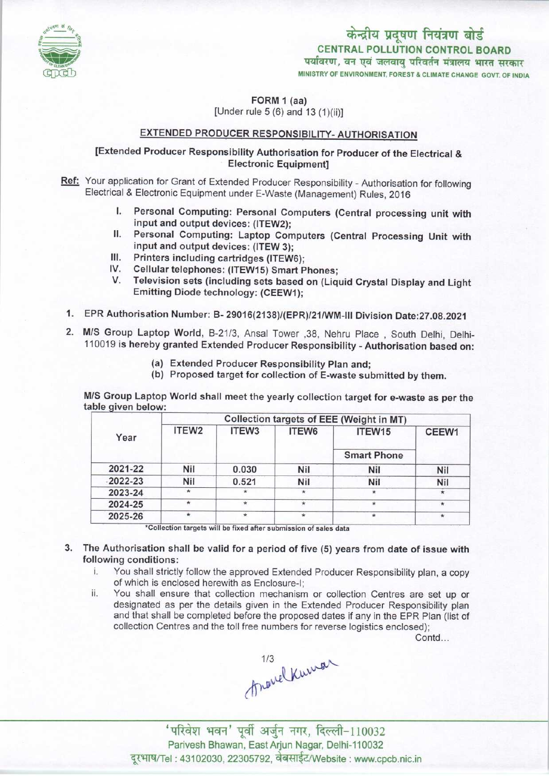

केन्द्रीय प्रदूषण नियंत्रण बोर्ड CENTRAL POLLUTION CONTROL BOARD<br>पर्यावरण, वन एवं जलवायु परिवर्तन मंत्रालय भारत सरकार MINISTRY OF ENVIRONMENT, FOREST & CLIMATE CHANGE GOVT. OF INDIA

FORM 1 (aa)  $[Under rule 5 (6) and 13 (1)(ii)]$ 

# EXTENDED PRODUCER RESPONSIBILITY-AUTHORISATION

# [Extended Producer Responsibility Authorisation for Producer of the Electrical & Electronic Equipment]

- Ref: Your application for Grant of Extended Producer Responsibility Authorisation for following Electrical & Electronic Equipment under E-Waste (Management) Rules, 2016
	- I. Personal Computing: Personal Computers (Central processing unit with input and output devices: (ITEW2);
	- II. Personal Computing: Laptop Computers (Central Processing Unit with input and output devices: (ITEW 3);
	- III. Printers including cartridges (ITEW6);
	- IV. Cellular telephones: (ITEW15) Smart Phones;
	- V.Television sets (including sets based on (Liquid Crystal Display and Light Emitting Diode technology: (CEEW1);
- 1.EPR Authorisation Number: B- 29016(2138)/(EPR)/21/WM-lll Division Date:27.08.2021
- 2.M/S Group Laptop World, B-21/3, Ansal Tower ,38, Nehru Place , South Delhi, Delhi-110019 is hereby granted Extended Producer Responsibility - Authorisation based on:
	- (a)Extended Producer Responsibility Plan and;
	- (b) Proposed target for collection of E-waste submitted by them.

M/S Group Laptop World shall meet the yearly collection target for e-waste as per the table given below:

| Year         | Collection targets of EEE (Weight in MT) |         |         |                              |         |
|--------------|------------------------------------------|---------|---------|------------------------------|---------|
|              | ITEW2                                    | ITEW3   | ITEW6   | ITEW15<br><b>Smart Phone</b> | CEEW1   |
|              |                                          |         |         |                              |         |
| $-2022 - 23$ | Nil                                      | 0.521   | Nil     | Nil                          | Nil     |
| 2023-24      |                                          | $\star$ | $\star$ |                              |         |
| 2024-25      | $\star$                                  | $\star$ | $\ast$  | ÷                            | $\star$ |
| 2025-26      | $\star$                                  | $\star$ | $\star$ | $\star$                      | $\star$ |

\*Collection targets will be fixed after submission of sales data

## 3. The Authorisation shall be valid for a period of five (5) years from date of issue with following conditions:

- i. You shall strictly follow the approved Extended Producer Responsibility plan, <sup>a</sup> copy of which is enclosed herewith as Enclosure-I;
- ii. You shall ensure that collection mechanism or collection Centres are set up or designated as per the details given in the Extended Producer Responsibility plan and that shall be completed before the proposed datesif any in the EPR Plan (list of collection Centres and the toll free numbers for reverse logistics enclosed);

Contd...

Anovel Kuman

'परिवेश भवन' पूर्वी अर्जुन नगर, दिल्ली-110032 Parivesh Bhawan, EastArjun Nagar, Delhi-110032 दूरभाष/Tel: 43102030, 22305792, वेबसाईट/Website : www.cpcb.nic.in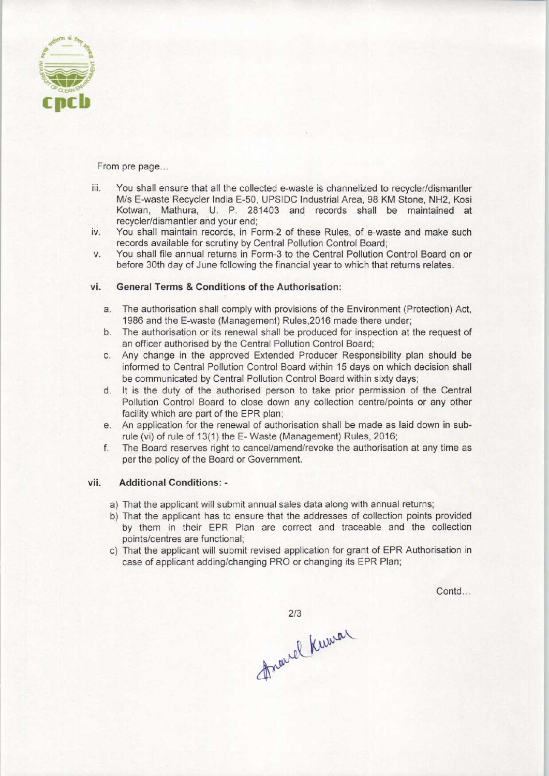

From pre page...

- iii. You shall ensure that all the collected e-waste is channelized to recycler/dismantler M/s E-waste Recycler India E-50, UPSIDC Industrial Area, 98 KM Stone. NH2, Kosi Kotwan, Mathura, U. P. 281403 and records shall be maintained at recycler/dismantler and your end;
- iv. You shall maintain records, in Form-2 of these Rules, of e-waste and make such records available for scrutiny by Central Pollution Control Board;
- v. You shall file annual returns in Form-3 to the Central Pollution Control Board on or before 30th day of June following the financial year to which that returns relates.

### vi. General Terms & Conditions of the Authorisation:

- a.The authorisation shall comply with provisions ofthe Environment (Protection) Act, 1986 and the E-waste (Management) Rules.2016 made there under;
- b. The authorisation or its renewal shall be produced for inspection at the request of an officer authorised by the Central Pollution Control Board;
- c.Any change in the approved Extended Producer Responsibility plan should be informed to Central Pollution Control Board within 15 days on which decision shall be communicated by Central Pollution Control Board within sixty days;
- d. It is the duty of the authorised person to take prior permission of the Central Pollution Control Board to close down any collection centre/points or any other facility which are part of the EPR plan;
- e.An application for the renewal of authorisation shall be made as laid down in subrule (vi) of rule of 13(1) the E-Waste (Management) Rules, 2016;
- f. The Board reserves right to cancel/amend/revoke the authorisation at any time as per the policy of the Board or Government.

#### vii. Additional Conditions: -

- a) That the applicant will submit annual sales data along with annual returns;
- b) That the applicant has to ensure that the addresses of collection points provided by them in their EPR Plan are correct and traceable and the collection points/centres are functional;
- c) That the applicant will submit revised application for grant of EPR Authorisation in case of applicant adding/changing PRO or changing its EPR Plan;

Contd...

 $2/3$ 

2/3<br>Arouse Kuwar